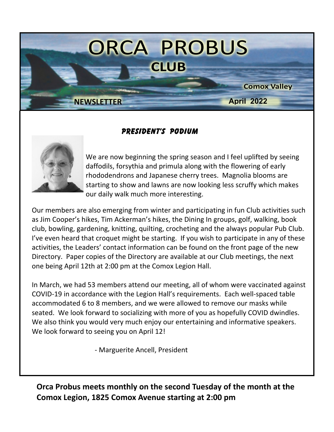

#### **PRESIDENT'S PODIUM**



We are now beginning the spring season and I feel uplifted by seeing daffodils, forsythia and primula along with the flowering of early rhododendrons and Japanese cherry trees. Magnolia blooms are starting to show and lawns are now looking less scruffy which makes our daily walk much more interesting.

Our members are also emerging from winter and participating in fun Club activities such as Jim Cooper's hikes, Tim Ackerman's hikes, the Dining In groups, golf, walking, book club, bowling, gardening, knitting, quilting, crocheting and the always popular Pub Club. I've even heard that croquet might be starting. If you wish to participate in any of these activities, the Leaders' contact information can be found on the front page of the new Directory. Paper copies of the Directory are available at our Club meetings, the next one being April 12th at 2:00 pm at the Comox Legion Hall.

In March, we had 53 members attend our meeting, all of whom were vaccinated against COVID-19 in accordance with the Legion Hall's requirements. Each well-spaced table accommodated 6 to 8 members, and we were allowed to remove our masks while seated. We look forward to socializing with more of you as hopefully COVID dwindles. We also think you would very much enjoy our entertaining and informative speakers. We look forward to seeing you on April 12!

- Marguerite Ancell, President

**Orca Probus meets monthly on the second Tuesday of the month at the Comox Legion, 1825 Comox Avenue starting at 2:00 pm**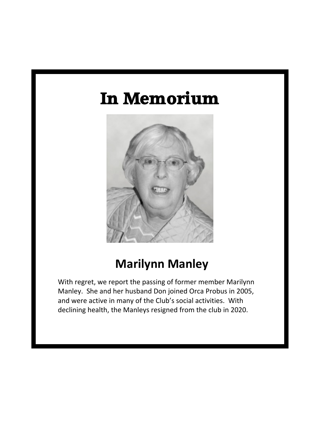# **In Memorium**



# **Marilynn Manley**

With regret, we report the passing of former member Marilynn Manley. She and her husband Don joined Orca Probus in 2005, and were active in many of the Club's social activities. With declining health, the Manleys resigned from the club in 2020.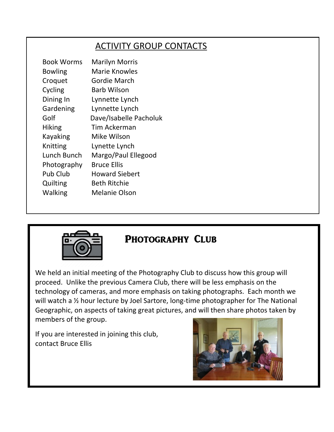### ACTIVITY GROUP CONTACTS

| <b>Book Worms</b> | <b>Marilyn Morris</b>  |
|-------------------|------------------------|
| <b>Bowling</b>    | Marie Knowles          |
| Croquet           | Gordie March           |
| Cycling           | Barb Wilson            |
| Dining In         | Lynnette Lynch         |
| Gardening         | Lynnette Lynch         |
| Golf              | Dave/Isabelle Pacholuk |
| <b>Hiking</b>     | Tim Ackerman           |
| Kayaking          | Mike Wilson            |
| Knitting          | Lynette Lynch          |
| Lunch Bunch       | Margo/Paul Ellegood    |
| Photography       | <b>Bruce Ellis</b>     |
| Pub Club          | <b>Howard Siebert</b>  |
| Quilting          | <b>Beth Ritchie</b>    |
| Walking           | Melanie Olson          |



#### **PHOTOGRAPHY CLUB**

We held an initial meeting of the Photography Club to discuss how this group will proceed. Unlike the previous Camera Club, there will be less emphasis on the technology of cameras, and more emphasis on taking photographs. Each month we will watch a <sup>1/2</sup> hour lecture by Joel Sartore, long-time photographer for The National Geographic, on aspects of taking great pictures, and will then share photos taken by members of the group.

If you are interested in joining this club, contact Bruce Ellis

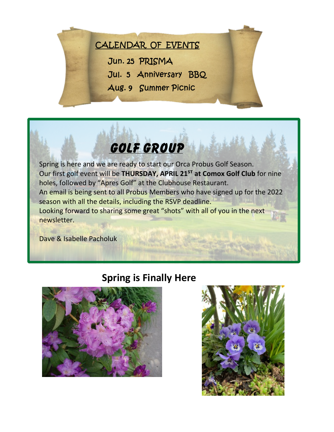## CALENDAR OF EVENTS

Jun. 25 PRISMA

Jul. 5 Anniversary BBQ

Aug. 9 Summer Picnic

# **Golf GROUP**

Spring is here and we are ready to start our Orca Probus Golf Season. Our first golf event will be **THURSDAY, APRIL 21<sup>ST</sup> at Comox Golf Club** for nine holes, followed by "Apres Golf" at the Clubhouse Restaurant. An email is being sent to all Probus Members who have signed up for the 2022 season with all the details, including the RSVP deadline. Looking forward to sharing some great "shots" with all of you in the next newsletter.

Dave & Isabelle Pacholuk

### **Spring is Finally Here**



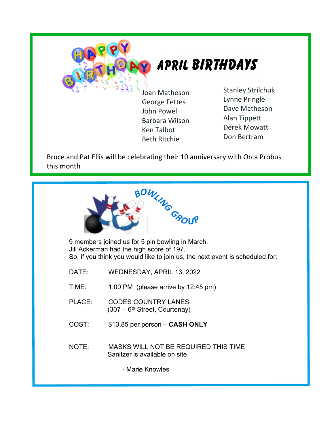

George Fettes John Powell Barbara Wilson Ken Talbot Beth Ritchie

Stanley Strilchuk Lynne Pringle Dave Matheson Alan Tippett Derek Mowatt Don Bertram

Bruce and Pat Ellis will be celebrating their 10 anniversary with Orca Probus this month



9 members joined us for 5 pin bowling in March. Jill Ackerman had the high score of 197. So, if you think you would like to join us, the next event is scheduled for:

DATE: WEDNESDAY, APRIL 13, 2022

TIME: 1:00 PM (please arrive by 12:45 pm)

- PLACE: CODES COUNTRY LANES  $(307 - 6<sup>th</sup> Street, Counter$
- COST: \$13.85 per person **CASH ONLY**
- NOTE: MASKS WILL NOT BE REQUIRED THIS TIME Sanitzer is available on site

- Marie Knowles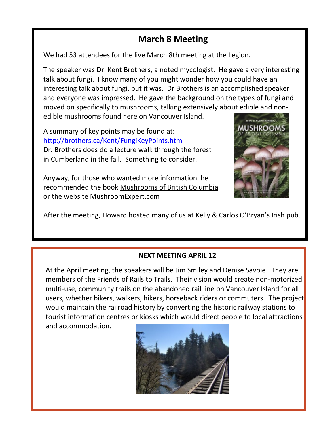### **March 8 Meeting**

We had 53 attendees for the live March 8th meeting at the Legion.

The speaker was Dr. Kent Brothers, a noted mycologist. He gave a very interesting talk about fungi. I know many of you might wonder how you could have an interesting talk about fungi, but it was. Dr Brothers is an accomplished speaker and everyone was impressed. He gave the background on the types of fungi and moved on specifically to mushrooms, talking extensively about edible and nonedible mushrooms found here on Vancouver Island.

A summary of key points may be found at: http://brothers.ca/Kent/FungiKeyPoints.htm Dr. Brothers does do a lecture walk through the forest in Cumberland in the fall. Something to consider.

Anyway, for those who wanted more information, he recommended the book Mushrooms of British Columbia or the website MushroomExpert.com



After the meeting, Howard hosted many of us at Kelly & Carlos O'Bryan's Irish pub.

#### **NEXT MEETING APRIL 12**

At the April meeting, the speakers will be Jim Smiley and Denise Savoie. They are members of the Friends of Rails to Trails. Their vision would create non-motorized multi-use, community trails on the abandoned rail line on Vancouver Island for all users, whether bikers, walkers, hikers, horseback riders or commuters. The project would maintain the railroad history by converting the historic railway stations to tourist information centres or kiosks which would direct people to local attractions and accommodation.

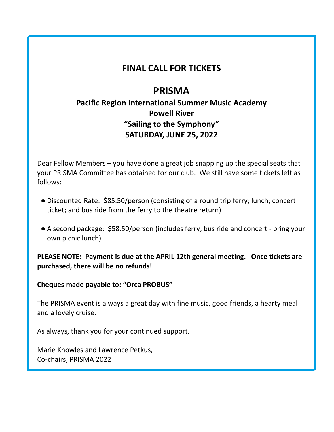#### **FINAL CALL FOR TICKETS**

### **PRISMA**

#### **Pacific Region International Summer Music Academy Powell River "Sailing to the Symphony" SATURDAY, JUNE 25, 2022**

Dear Fellow Members – you have done a great job snapping up the special seats that your PRISMA Committee has obtained for our club. We still have some tickets left as follows:

- Discounted Rate: \$85.50/person (consisting of a round trip ferry; lunch; concert ticket; and bus ride from the ferry to the theatre return)
- A second package: \$58.50/person (includes ferry; bus ride and concert bring your own picnic lunch)

#### **PLEASE NOTE: Payment is due at the APRIL 12th general meeting. Once tickets are purchased, there will be no refunds!**

#### **Cheques made payable to: "Orca PROBUS"**

The PRISMA event is always a great day with fine music, good friends, a hearty meal and a lovely cruise.

As always, thank you for your continued support.

Marie Knowles and Lawrence Petkus, Co-chairs, PRISMA 2022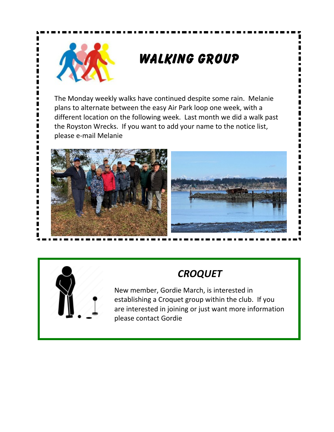

# **Walking Group**

The Monday weekly walks have continued despite some rain. Melanie plans to alternate between the easy Air Park loop one week, with a different location on the following week. Last month we did a walk past the Royston Wrecks. If you want to add your name to the notice list, please e-mail Melanie





# *CROQUET*

New member, Gordie March, is interested in establishing a Croquet group within the club. If you are interested in joining or just want more information please contact Gordie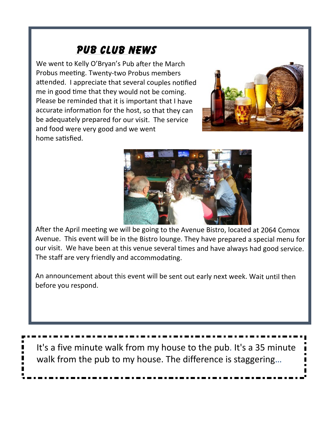## **PUB CLUB NEWS**

We went to Kelly O'Bryan's Pub after the March Probus meeting. Twenty-two Probus members attended. I appreciate that several couples notified me in good time that they would not be coming. Please be reminded that it is important that I have accurate information for the host, so that they can be adequately prepared for our visit. The service and food were very good and we went home satisfied.





After the April meeting we will be going to the Avenue Bistro, located at 2064 Comox Avenue. This event will be in the Bistro lounge. They have prepared a special menu for our visit. We have been at this venue several times and have always had good service. The staff are very friendly and accommodating.

An announcement about this event will be sent out early next week. Wait until then before you respond.